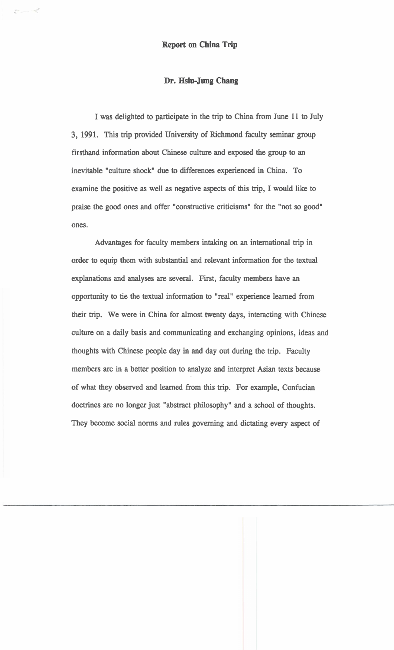## **Dr. Hsiu-Jung Chang**

I was delighted to participate in the trip to China from June 11 to July 3, 1991. This trip provided University of Richmond faculty seminar group firsthand information about Chinese culture and exposed the group to an inevitable "culture shock" due to differences experienced in China. To examine the positive as well as negative aspects of this trip, I would like to praise the good ones and offer "constructive criticisms" for the "not so good" ones.

Advantages for faculty members intaking on an international trip in order to equip them with substantial and relevant information for the textual explanations and analyses are several. First, faculty members have an opportunity to tie the textual information to "real" experience learned from their trip. We were in China for almost twenty days, interacting with Chinese culture on a daily basis and communicating and exchanging opinions, ideas and thoughts with Chinese people day in and day out during the trip. Faculty members are in a better position to analyze and interpret Asian texts because of what they observed and learned from this trip. For example, Confucian doctrines are no longer just "abstract philosophy" and a school of thoughts. They become social norms and rules governing and dictating every aspect of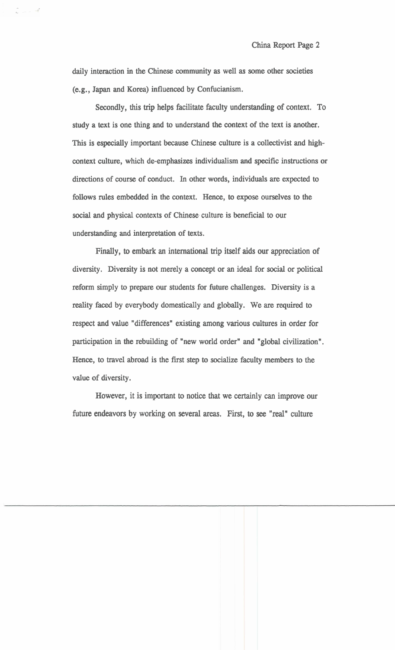daily interaction in the Chinese community as well as some other societies (e.g., Japan and Korea) influenced by Confucianism.

 $\sim$   $-$ 

Secondly, this trip helps facilitate faculty understanding of context. To study a text is one thing and to understand the context of the text is another. This is especially important because Chinese culture is a collectivist and highcontext culture, which de-emphasizes individualism and specific instructions or directions of course of conduct. In other words, individuals are expected to follows rules embedded in the context. Hence, to expose ourselves to the social and physical contexts of Chinese culture is beneficial to our understanding and interpretation of texts.

Finally, to embark an international trip itself aids our appreciation of diversity. Diversity is not merely a concept or an ideal for social or political reform simply to prepare our students for future challenges. Diversity is a reality faced by everybody domestically and globally. We are required to respect and value "differences" existing among various cultures in order for participation in the rebuilding of "new world order" and "global civilization". Hence, to travel abroad is the first step to socialize faculty members to the value of diversity.

However, it is important to notice that we certainly can improve our future endeavors by working on several areas. First, to see "real" culture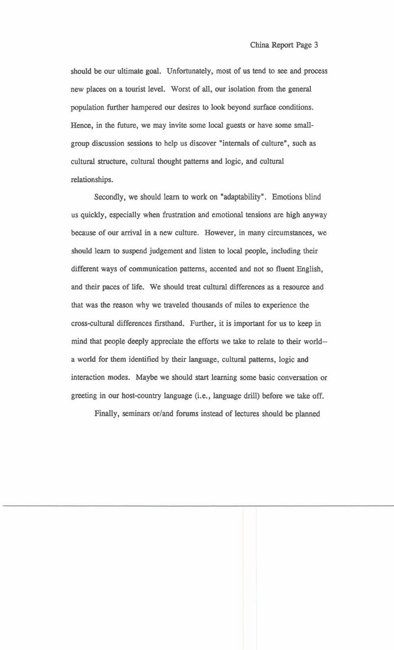should be our ultimate goal. Unfortunately, most of us tend to see and process new places on a tourist level. Worst of **all,** our isolation from the general population further hampered our desires to look beyond surface conditions. Hence, in the future, we may invite some local guests or have some smallgroup discussion sessions to help us discover "internals of culture", such as cultural structure, cultural thought patterns and logic, and cultural relationships.

Secondly, we should learn to work on "adaptability". Emotions blind us quickly, especially when frustration and emotional tensions are high anyway because of our arrival in a new culture. However, in many circumstances, we should learn to suspend judgement and listen to local people, including their different ways of communication patterns, accented and not so fluent English, and their paces of life. We should treat cultural differences as a resource and that was the reason why we traveled thousands of miles to experience the cross-cultural differences firsthand. Further, it is important for us to keep in mind that people deeply appreciate the efforts we take to relate to their world- a world for them identified by their language, cultural patterns, logic and interaction modes. Maybe we should start learning some basic conversation or greeting in our host-country language (i.e., language drill) before we take off.

Finally, seminars or/and forums instead of lectures should be planned